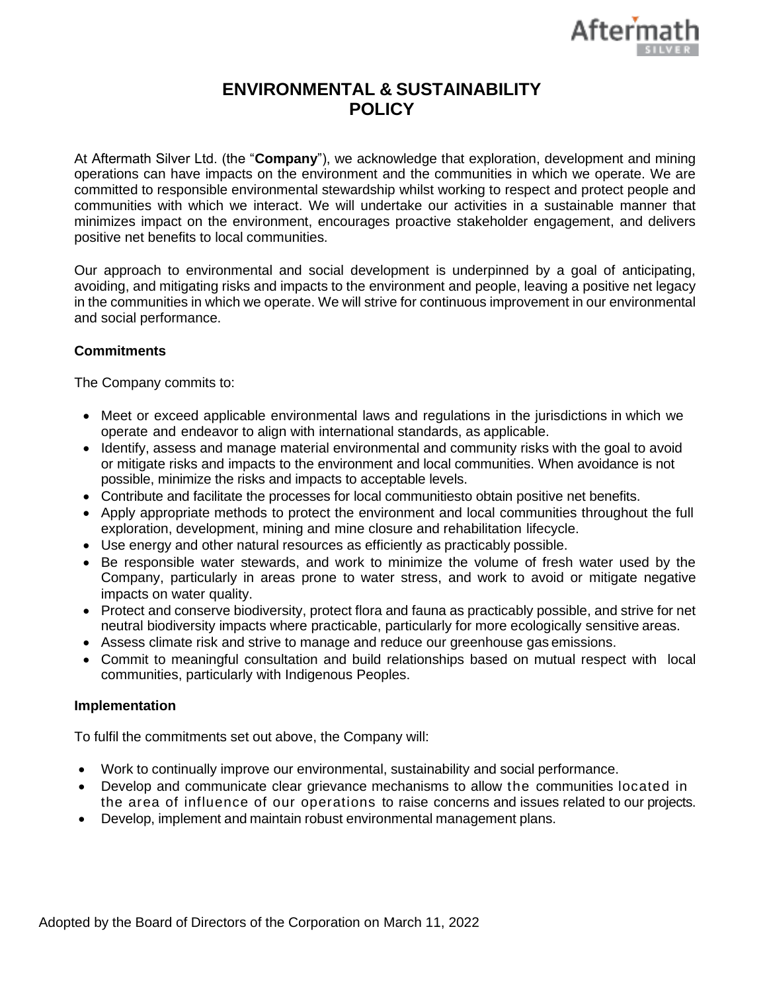

## **ENVIRONMENTAL & SUSTAINABILITY POLICY**

At Aftermath Silver Ltd. (the "**Company**"), we acknowledge that exploration, development and mining operations can have impacts on the environment and the communities in which we operate. We are committed to responsible environmental stewardship whilst working to respect and protect people and communities with which we interact. We will undertake our activities in a sustainable manner that minimizes impact on the environment, encourages proactive stakeholder engagement, and delivers positive net benefits to local communities.

Our approach to environmental and social development is underpinned by a goal of anticipating, avoiding, and mitigating risks and impacts to the environment and people, leaving a positive net legacy in the communities in which we operate. We will strive for continuous improvement in our environmental and social performance.

## **Commitments**

The Company commits to:

- Meet or exceed applicable environmental laws and regulations in the jurisdictions in which we operate and endeavor to align with international standards, as applicable.
- Identify, assess and manage material environmental and community risks with the goal to avoid or mitigate risks and impacts to the environment and local communities. When avoidance is not possible, minimize the risks and impacts to acceptable levels.
- Contribute and facilitate the processes for local communitiesto obtain positive net benefits.
- Apply appropriate methods to protect the environment and local communities throughout the full exploration, development, mining and mine closure and rehabilitation lifecycle.
- Use energy and other natural resources as efficiently as practicably possible.
- Be responsible water stewards, and work to minimize the volume of fresh water used by the Company, particularly in areas prone to water stress, and work to avoid or mitigate negative impacts on water quality.
- Protect and conserve biodiversity, protect flora and fauna as practicably possible, and strive for net neutral biodiversity impacts where practicable, particularly for more ecologically sensitive areas.
- Assess climate risk and strive to manage and reduce our greenhouse gas emissions.
- Commit to meaningful consultation and build relationships based on mutual respect with local communities, particularly with Indigenous Peoples.

## **Implementation**

To fulfil the commitments set out above, the Company will:

- Work to continually improve our environmental, sustainability and social performance.
- Develop and communicate clear grievance mechanisms to allow the communities located in the area of influence of our operations to raise concerns and issues related to our projects.
- Develop, implement and maintain robust environmental management plans.